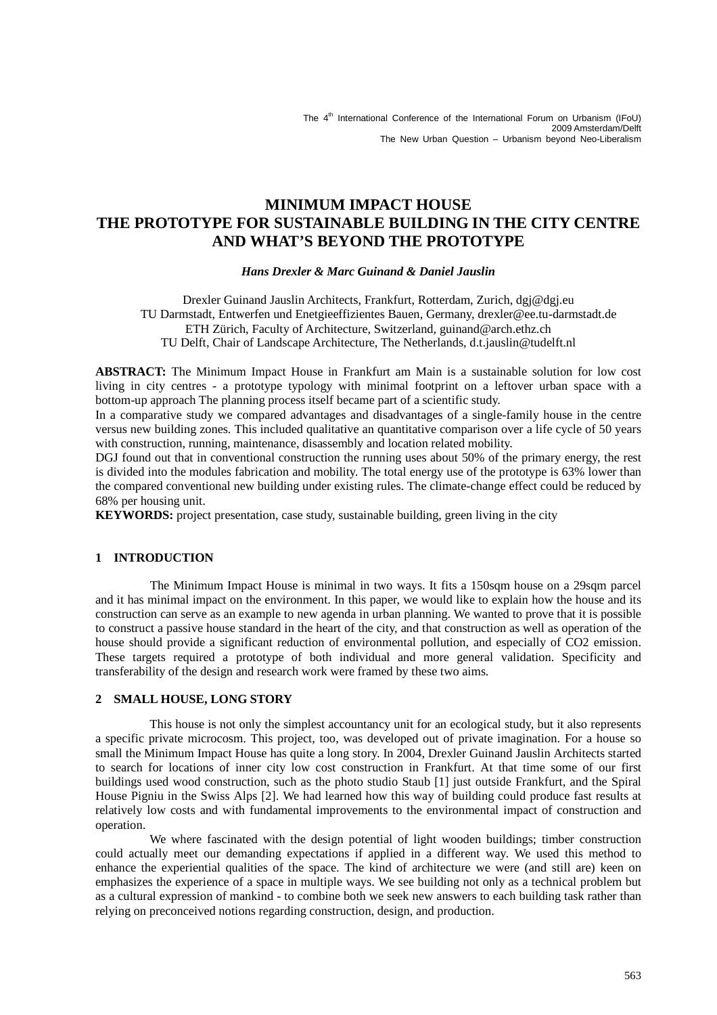# **MINIMUM IMPACT HOUSE THE PROTOTYPE FOR SUSTAINABLE BUILDING IN THE CITY CENTRE AND WHAT'S BEYOND THE PROTOTYPE**

# *Hans Drexler & Marc Guinand & Daniel Jauslin*

Drexler Guinand Jauslin Architects, Frankfurt, Rotterdam, Zurich, dgj@dgj.eu TU Darmstadt, Entwerfen und Enetgieeffizientes Bauen, Germany, drexler@ee.tu-darmstadt.de ETH Zürich, Faculty of Architecture, Switzerland, guinand@arch.ethz.ch TU Delft, Chair of Landscape Architecture, The Netherlands, d.t.jauslin@tudelft.nl

**ABSTRACT:** The Minimum Impact House in Frankfurt am Main is a sustainable solution for low cost living in city centres - a prototype typology with minimal footprint on a leftover urban space with a bottom-up approach The planning process itself became part of a scientific study.

In a comparative study we compared advantages and disadvantages of a single-family house in the centre versus new building zones. This included qualitative an quantitative comparison over a life cycle of 50 years with construction, running, maintenance, disassembly and location related mobility.

DGJ found out that in conventional construction the running uses about 50% of the primary energy, the rest is divided into the modules fabrication and mobility. The total energy use of the prototype is 63% lower than the compared conventional new building under existing rules. The climate-change effect could be reduced by 68% per housing unit.

**KEYWORDS:** project presentation, case study, sustainable building, green living in the city

### **1 INTRODUCTION**

The Minimum Impact House is minimal in two ways. It fits a 150sqm house on a 29sqm parcel and it has minimal impact on the environment. In this paper, we would like to explain how the house and its construction can serve as an example to new agenda in urban planning. We wanted to prove that it is possible to construct a passive house standard in the heart of the city, and that construction as well as operation of the house should provide a significant reduction of environmental pollution, and especially of CO2 emission. These targets required a prototype of both individual and more general validation. Specificity and transferability of the design and research work were framed by these two aims.

# **2 SMALL HOUSE, LONG STORY**

 This house is not only the simplest accountancy unit for an ecological study, but it also represents a specific private microcosm. This project, too, was developed out of private imagination. For a house so small the Minimum Impact House has quite a long story. In 2004, Drexler Guinand Jauslin Architects started to search for locations of inner city low cost construction in Frankfurt. At that time some of our first buildings used wood construction, such as the photo studio Staub [1] just outside Frankfurt, and the Spiral House Pigniu in the Swiss Alps [2]. We had learned how this way of building could produce fast results at relatively low costs and with fundamental improvements to the environmental impact of construction and operation.

 We where fascinated with the design potential of light wooden buildings; timber construction could actually meet our demanding expectations if applied in a different way. We used this method to enhance the experiential qualities of the space. The kind of architecture we were (and still are) keen on emphasizes the experience of a space in multiple ways. We see building not only as a technical problem but as a cultural expression of mankind - to combine both we seek new answers to each building task rather than relying on preconceived notions regarding construction, design, and production.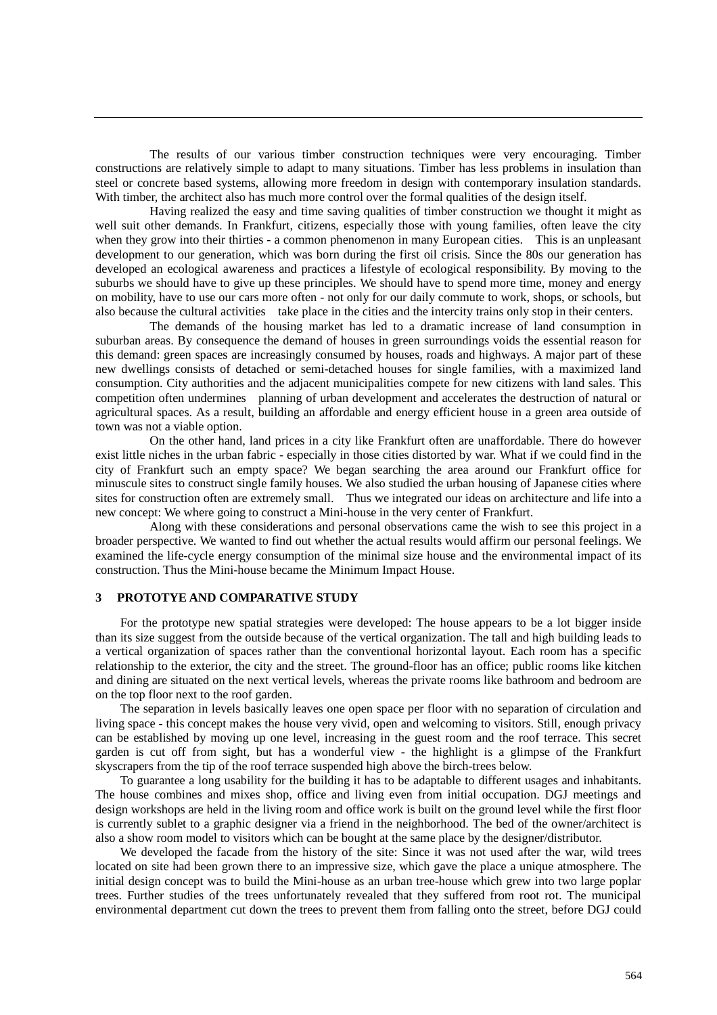The results of our various timber construction techniques were very encouraging. Timber constructions are relatively simple to adapt to many situations. Timber has less problems in insulation than steel or concrete based systems, allowing more freedom in design with contemporary insulation standards. With timber, the architect also has much more control over the formal qualities of the design itself.

 Having realized the easy and time saving qualities of timber construction we thought it might as well suit other demands. In Frankfurt, citizens, especially those with young families, often leave the city when they grow into their thirties - a common phenomenon in many European cities. This is an unpleasant development to our generation, which was born during the first oil crisis. Since the 80s our generation has developed an ecological awareness and practices a lifestyle of ecological responsibility. By moving to the suburbs we should have to give up these principles. We should have to spend more time, money and energy on mobility, have to use our cars more often - not only for our daily commute to work, shops, or schools, but also because the cultural activities take place in the cities and the intercity trains only stop in their centers.

 The demands of the housing market has led to a dramatic increase of land consumption in suburban areas. By consequence the demand of houses in green surroundings voids the essential reason for this demand: green spaces are increasingly consumed by houses, roads and highways. A major part of these new dwellings consists of detached or semi-detached houses for single families, with a maximized land consumption. City authorities and the adjacent municipalities compete for new citizens with land sales. This competition often undermines planning of urban development and accelerates the destruction of natural or agricultural spaces. As a result, building an affordable and energy efficient house in a green area outside of town was not a viable option.

 On the other hand, land prices in a city like Frankfurt often are unaffordable. There do however exist little niches in the urban fabric - especially in those cities distorted by war. What if we could find in the city of Frankfurt such an empty space? We began searching the area around our Frankfurt office for minuscule sites to construct single family houses. We also studied the urban housing of Japanese cities where sites for construction often are extremely small. Thus we integrated our ideas on architecture and life into a new concept: We where going to construct a Mini-house in the very center of Frankfurt.

 Along with these considerations and personal observations came the wish to see this project in a broader perspective. We wanted to find out whether the actual results would affirm our personal feelings. We examined the life-cycle energy consumption of the minimal size house and the environmental impact of its construction. Thus the Mini-house became the Minimum Impact House.

### **3 PROTOTYE AND COMPARATIVE STUDY**

For the prototype new spatial strategies were developed: The house appears to be a lot bigger inside than its size suggest from the outside because of the vertical organization. The tall and high building leads to a vertical organization of spaces rather than the conventional horizontal layout. Each room has a specific relationship to the exterior, the city and the street. The ground-floor has an office; public rooms like kitchen and dining are situated on the next vertical levels, whereas the private rooms like bathroom and bedroom are on the top floor next to the roof garden.

The separation in levels basically leaves one open space per floor with no separation of circulation and living space - this concept makes the house very vivid, open and welcoming to visitors. Still, enough privacy can be established by moving up one level, increasing in the guest room and the roof terrace. This secret garden is cut off from sight, but has a wonderful view - the highlight is a glimpse of the Frankfurt skyscrapers from the tip of the roof terrace suspended high above the birch-trees below.

To guarantee a long usability for the building it has to be adaptable to different usages and inhabitants. The house combines and mixes shop, office and living even from initial occupation. DGJ meetings and design workshops are held in the living room and office work is built on the ground level while the first floor is currently sublet to a graphic designer via a friend in the neighborhood. The bed of the owner/architect is also a show room model to visitors which can be bought at the same place by the designer/distributor.

We developed the facade from the history of the site: Since it was not used after the war, wild trees located on site had been grown there to an impressive size, which gave the place a unique atmosphere. The initial design concept was to build the Mini-house as an urban tree-house which grew into two large poplar trees. Further studies of the trees unfortunately revealed that they suffered from root rot. The municipal environmental department cut down the trees to prevent them from falling onto the street, before DGJ could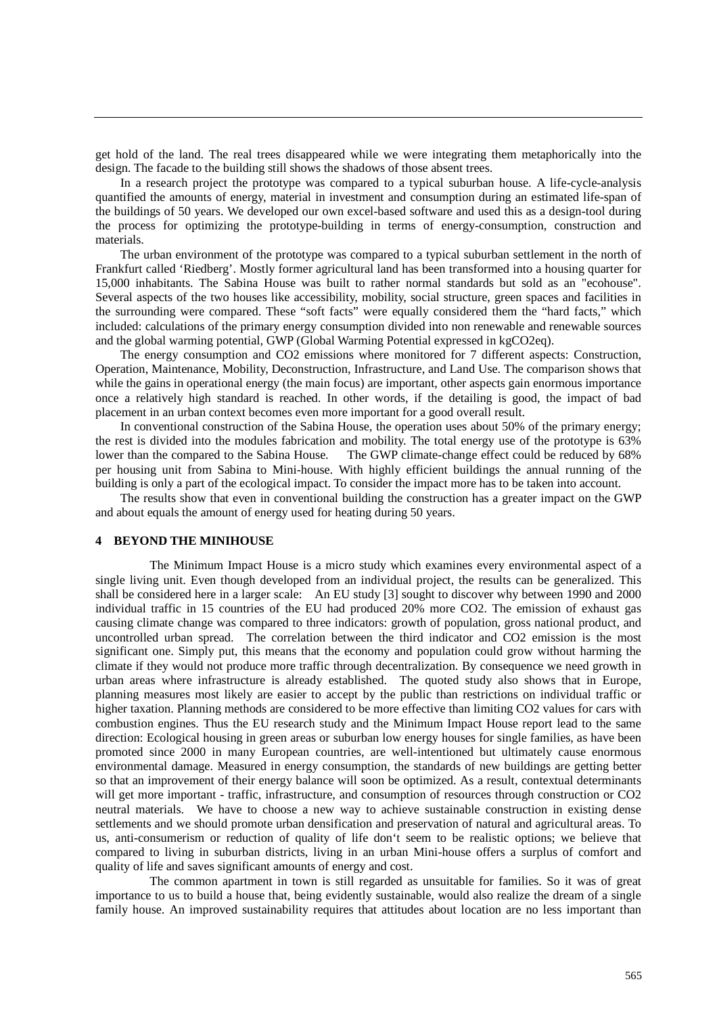get hold of the land. The real trees disappeared while we were integrating them metaphorically into the design. The facade to the building still shows the shadows of those absent trees.

In a research project the prototype was compared to a typical suburban house. A life-cycle-analysis quantified the amounts of energy, material in investment and consumption during an estimated life-span of the buildings of 50 years. We developed our own excel-based software and used this as a design-tool during the process for optimizing the prototype-building in terms of energy-consumption, construction and materials.

The urban environment of the prototype was compared to a typical suburban settlement in the north of Frankfurt called 'Riedberg'. Mostly former agricultural land has been transformed into a housing quarter for 15,000 inhabitants. The Sabina House was built to rather normal standards but sold as an "ecohouse". Several aspects of the two houses like accessibility, mobility, social structure, green spaces and facilities in the surrounding were compared. These "soft facts" were equally considered them the "hard facts," which included: calculations of the primary energy consumption divided into non renewable and renewable sources and the global warming potential, GWP (Global Warming Potential expressed in kgCO2eq).

The energy consumption and CO2 emissions where monitored for 7 different aspects: Construction, Operation, Maintenance, Mobility, Deconstruction, Infrastructure, and Land Use. The comparison shows that while the gains in operational energy (the main focus) are important, other aspects gain enormous importance once a relatively high standard is reached. In other words, if the detailing is good, the impact of bad placement in an urban context becomes even more important for a good overall result.

In conventional construction of the Sabina House, the operation uses about 50% of the primary energy; the rest is divided into the modules fabrication and mobility. The total energy use of the prototype is 63% lower than the compared to the Sabina House. The GWP climate-change effect could be reduced by 68% per housing unit from Sabina to Mini-house. With highly efficient buildings the annual running of the building is only a part of the ecological impact. To consider the impact more has to be taken into account.

The results show that even in conventional building the construction has a greater impact on the GWP and about equals the amount of energy used for heating during 50 years.

#### **4 BEYOND THE MINIHOUSE**

 The Minimum Impact House is a micro study which examines every environmental aspect of a single living unit. Even though developed from an individual project, the results can be generalized. This shall be considered here in a larger scale: An EU study [3] sought to discover why between 1990 and 2000 individual traffic in 15 countries of the EU had produced 20% more CO2. The emission of exhaust gas causing climate change was compared to three indicators: growth of population, gross national product, and uncontrolled urban spread. The correlation between the third indicator and CO2 emission is the most significant one. Simply put, this means that the economy and population could grow without harming the climate if they would not produce more traffic through decentralization. By consequence we need growth in urban areas where infrastructure is already established. The quoted study also shows that in Europe, planning measures most likely are easier to accept by the public than restrictions on individual traffic or higher taxation. Planning methods are considered to be more effective than limiting CO2 values for cars with combustion engines. Thus the EU research study and the Minimum Impact House report lead to the same direction: Ecological housing in green areas or suburban low energy houses for single families, as have been promoted since 2000 in many European countries, are well-intentioned but ultimately cause enormous environmental damage. Measured in energy consumption, the standards of new buildings are getting better so that an improvement of their energy balance will soon be optimized. As a result, contextual determinants will get more important - traffic, infrastructure, and consumption of resources through construction or CO2 neutral materials. We have to choose a new way to achieve sustainable construction in existing dense settlements and we should promote urban densification and preservation of natural and agricultural areas. To us, anti-consumerism or reduction of quality of life don't seem to be realistic options; we believe that compared to living in suburban districts, living in an urban Mini-house offers a surplus of comfort and quality of life and saves significant amounts of energy and cost.

 The common apartment in town is still regarded as unsuitable for families. So it was of great importance to us to build a house that, being evidently sustainable, would also realize the dream of a single family house. An improved sustainability requires that attitudes about location are no less important than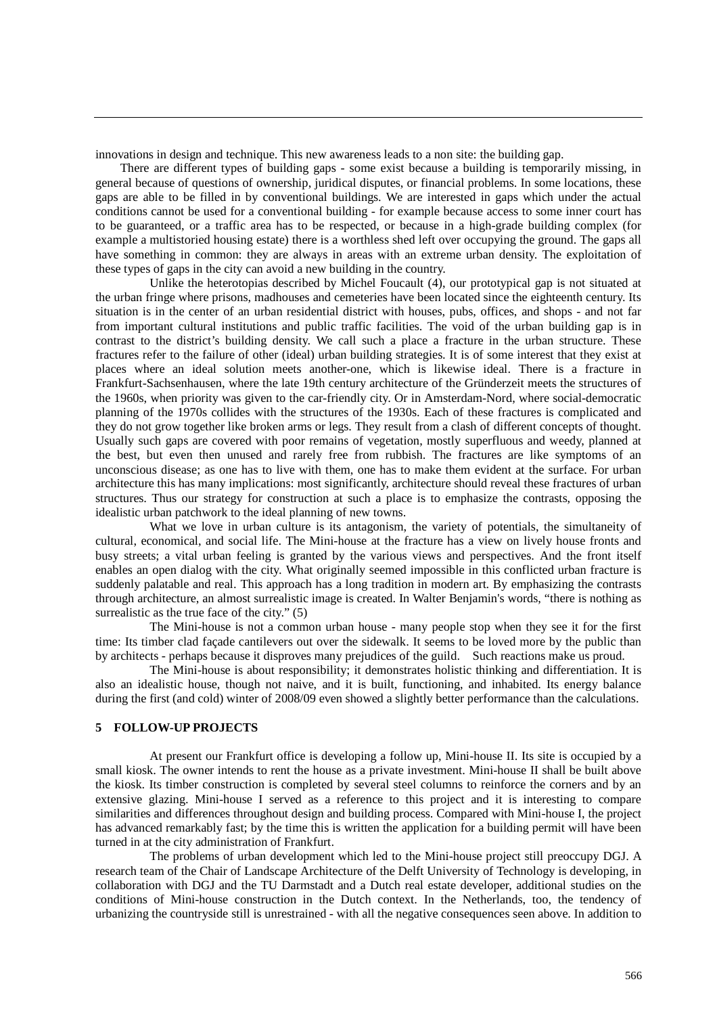innovations in design and technique. This new awareness leads to a non site: the building gap.

There are different types of building gaps - some exist because a building is temporarily missing, in general because of questions of ownership, juridical disputes, or financial problems. In some locations, these gaps are able to be filled in by conventional buildings. We are interested in gaps which under the actual conditions cannot be used for a conventional building - for example because access to some inner court has to be guaranteed, or a traffic area has to be respected, or because in a high-grade building complex (for example a multistoried housing estate) there is a worthless shed left over occupying the ground. The gaps all have something in common: they are always in areas with an extreme urban density. The exploitation of these types of gaps in the city can avoid a new building in the country.

 Unlike the heterotopias described by Michel Foucault (4), our prototypical gap is not situated at the urban fringe where prisons, madhouses and cemeteries have been located since the eighteenth century. Its situation is in the center of an urban residential district with houses, pubs, offices, and shops - and not far from important cultural institutions and public traffic facilities. The void of the urban building gap is in contrast to the district's building density. We call such a place a fracture in the urban structure. These fractures refer to the failure of other (ideal) urban building strategies. It is of some interest that they exist at places where an ideal solution meets another-one, which is likewise ideal. There is a fracture in Frankfurt-Sachsenhausen, where the late 19th century architecture of the Gründerzeit meets the structures of the 1960s, when priority was given to the car-friendly city. Or in Amsterdam-Nord, where social-democratic planning of the 1970s collides with the structures of the 1930s. Each of these fractures is complicated and they do not grow together like broken arms or legs. They result from a clash of different concepts of thought. Usually such gaps are covered with poor remains of vegetation, mostly superfluous and weedy, planned at the best, but even then unused and rarely free from rubbish. The fractures are like symptoms of an unconscious disease; as one has to live with them, one has to make them evident at the surface. For urban architecture this has many implications: most significantly, architecture should reveal these fractures of urban structures. Thus our strategy for construction at such a place is to emphasize the contrasts, opposing the idealistic urban patchwork to the ideal planning of new towns.

What we love in urban culture is its antagonism, the variety of potentials, the simultaneity of cultural, economical, and social life. The Mini-house at the fracture has a view on lively house fronts and busy streets; a vital urban feeling is granted by the various views and perspectives. And the front itself enables an open dialog with the city. What originally seemed impossible in this conflicted urban fracture is suddenly palatable and real. This approach has a long tradition in modern art. By emphasizing the contrasts through architecture, an almost surrealistic image is created. In Walter Benjamin's words, "there is nothing as surrealistic as the true face of the city." (5)

 The Mini-house is not a common urban house - many people stop when they see it for the first time: Its timber clad façade cantilevers out over the sidewalk. It seems to be loved more by the public than by architects - perhaps because it disproves many prejudices of the guild. Such reactions make us proud.

 The Mini-house is about responsibility; it demonstrates holistic thinking and differentiation. It is also an idealistic house, though not naive, and it is built, functioning, and inhabited. Its energy balance during the first (and cold) winter of 2008/09 even showed a slightly better performance than the calculations.

# **5 FOLLOW-UP PROJECTS**

 At present our Frankfurt office is developing a follow up, Mini-house II. Its site is occupied by a small kiosk. The owner intends to rent the house as a private investment. Mini-house II shall be built above the kiosk. Its timber construction is completed by several steel columns to reinforce the corners and by an extensive glazing. Mini-house I served as a reference to this project and it is interesting to compare similarities and differences throughout design and building process. Compared with Mini-house I, the project has advanced remarkably fast; by the time this is written the application for a building permit will have been turned in at the city administration of Frankfurt.

 The problems of urban development which led to the Mini-house project still preoccupy DGJ. A research team of the Chair of Landscape Architecture of the Delft University of Technology is developing, in collaboration with DGJ and the TU Darmstadt and a Dutch real estate developer, additional studies on the conditions of Mini-house construction in the Dutch context. In the Netherlands, too, the tendency of urbanizing the countryside still is unrestrained - with all the negative consequences seen above. In addition to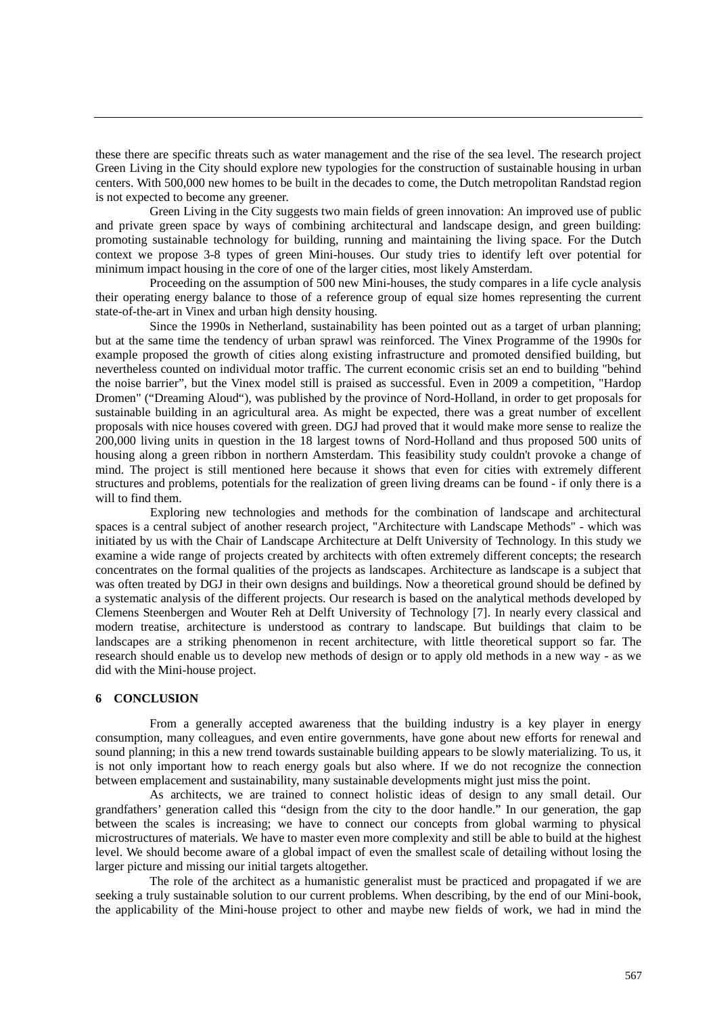these there are specific threats such as water management and the rise of the sea level. The research project Green Living in the City should explore new typologies for the construction of sustainable housing in urban centers. With 500,000 new homes to be built in the decades to come, the Dutch metropolitan Randstad region is not expected to become any greener.

 Green Living in the City suggests two main fields of green innovation: An improved use of public and private green space by ways of combining architectural and landscape design, and green building: promoting sustainable technology for building, running and maintaining the living space. For the Dutch context we propose 3-8 types of green Mini-houses. Our study tries to identify left over potential for minimum impact housing in the core of one of the larger cities, most likely Amsterdam.

 Proceeding on the assumption of 500 new Mini-houses, the study compares in a life cycle analysis their operating energy balance to those of a reference group of equal size homes representing the current state-of-the-art in Vinex and urban high density housing.

 Since the 1990s in Netherland, sustainability has been pointed out as a target of urban planning; but at the same time the tendency of urban sprawl was reinforced. The Vinex Programme of the 1990s for example proposed the growth of cities along existing infrastructure and promoted densified building, but nevertheless counted on individual motor traffic. The current economic crisis set an end to building "behind the noise barrier", but the Vinex model still is praised as successful. Even in 2009 a competition, "Hardop Dromen" ("Dreaming Aloud"), was published by the province of Nord-Holland, in order to get proposals for sustainable building in an agricultural area. As might be expected, there was a great number of excellent proposals with nice houses covered with green. DGJ had proved that it would make more sense to realize the 200,000 living units in question in the 18 largest towns of Nord-Holland and thus proposed 500 units of housing along a green ribbon in northern Amsterdam. This feasibility study couldn't provoke a change of mind. The project is still mentioned here because it shows that even for cities with extremely different structures and problems, potentials for the realization of green living dreams can be found - if only there is a will to find them.

Exploring new technologies and methods for the combination of landscape and architectural spaces is a central subject of another research project, "Architecture with Landscape Methods" - which was initiated by us with the Chair of Landscape Architecture at Delft University of Technology. In this study we examine a wide range of projects created by architects with often extremely different concepts; the research concentrates on the formal qualities of the projects as landscapes. Architecture as landscape is a subject that was often treated by DGJ in their own designs and buildings. Now a theoretical ground should be defined by a systematic analysis of the different projects. Our research is based on the analytical methods developed by Clemens Steenbergen and Wouter Reh at Delft University of Technology [7]. In nearly every classical and modern treatise, architecture is understood as contrary to landscape. But buildings that claim to be landscapes are a striking phenomenon in recent architecture, with little theoretical support so far. The research should enable us to develop new methods of design or to apply old methods in a new way - as we did with the Mini-house project.

# **6 CONCLUSION**

 From a generally accepted awareness that the building industry is a key player in energy consumption, many colleagues, and even entire governments, have gone about new efforts for renewal and sound planning; in this a new trend towards sustainable building appears to be slowly materializing. To us, it is not only important how to reach energy goals but also where. If we do not recognize the connection between emplacement and sustainability, many sustainable developments might just miss the point.

 As architects, we are trained to connect holistic ideas of design to any small detail. Our grandfathers' generation called this "design from the city to the door handle." In our generation, the gap between the scales is increasing; we have to connect our concepts from global warming to physical microstructures of materials. We have to master even more complexity and still be able to build at the highest level. We should become aware of a global impact of even the smallest scale of detailing without losing the larger picture and missing our initial targets altogether.

 The role of the architect as a humanistic generalist must be practiced and propagated if we are seeking a truly sustainable solution to our current problems. When describing, by the end of our Mini-book, the applicability of the Mini-house project to other and maybe new fields of work, we had in mind the